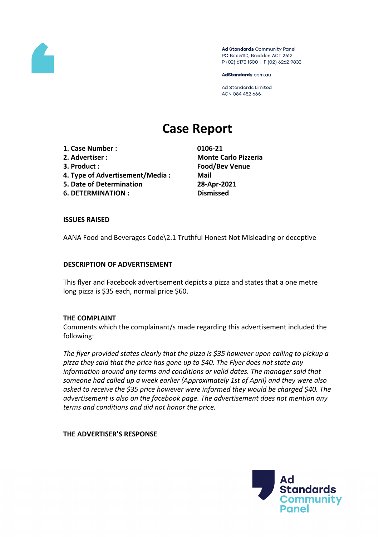

Ad Standards Community Panel PO Box 5110, Braddon ACT 2612 P (02) 6173 1500 | F (02) 6262 9833

AdStandards.com.au

Ad Standards Limited ACN 084 452 666

# **Case Report**

**1. Case Number : 0106-21 2. Advertiser : Monte Carlo Pizzeria**

- 
- **4. Type of Advertisement/Media : Mail**
- **5. Date of Determination 28-Apr-2021**
- **6. DETERMINATION : Dismissed**

**3. Product : Food/Bev Venue**

### **ISSUES RAISED**

AANA Food and Beverages Code\2.1 Truthful Honest Not Misleading or deceptive

### **DESCRIPTION OF ADVERTISEMENT**

This flyer and Facebook advertisement depicts a pizza and states that a one metre long pizza is \$35 each, normal price \$60.

### **THE COMPLAINT**

Comments which the complainant/s made regarding this advertisement included the following:

*The flyer provided states clearly that the pizza is \$35 however upon calling to pickup a pizza they said that the price has gone up to \$40. The Flyer does not state any information around any terms and conditions or valid dates. The manager said that someone had called up a week earlier (Approximately 1st of April) and they were also asked to receive the \$35 price however were informed they would be charged \$40. The advertisement is also on the facebook page. The advertisement does not mention any terms and conditions and did not honor the price.*

### **THE ADVERTISER'S RESPONSE**

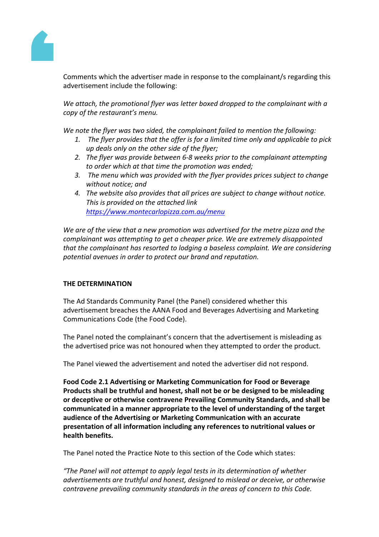Comments which the advertise made in response to the complainant/sregarding this advertisement include the following:

We attach, the promotional flyer was tter boxeddropped to the complainant with a copy ofthe restaurant'smenu.

We note the flyer was two sided, the complainant faile chention the following:

- 1. The flyerprovidesthat the offer is for a limited imeonly and applicable to pick up dealsonly on theother side ofhe flyer;
- 2. Theflyer was provide betweer 6-8 weeks prior to the omplainant attempting to order which at that ime the promotion was ended;
- 3. The menu which was rovided with the flyeprovides prices subject to hange without notice;and
- 4. Thewebsite alsoprovides that albricesare subject tochangewithout notice. Thisis providedon the attachedlink [https://www.montecarlopizza.com.au/men](https://aus01.safelinks.protection.outlook.com/?url=https%3A%2F%2Fwww.montecarlopizza.com.au%2Fmenu&data=04%7C01%7Ccomplaints%40adstandards.com.au%7C71d90a010f8744a023d708d90e82106c%7C336bbaa3ac97416d94c34efc79c0a38d%7C0%7C0%7C637556774110739874%7CUnknown%7CTWFpbGZsb3d8eyJWIjoiMC4wLjAwMDAiLCJQIjoiV2luMzIiLCJBTiI6Ik1haWwiLCJXVCI6Mn0%3D%7C1000&sdata=4MPG23badoIThR4e8%2Fnch7Sur1Lx%2Fbf3QAJbZEXlRco%3D&reserved=0)u

We are ofthe view thata new promotionwas advertised for thenetrepizza andhe complainant was attempting get acheaperprice. We are extremely disappointed that the complainanthas resorted toddging abaseless complaint.We areconsidering potential avenues in ordeo protect ourbrand andreputation.

## THE DETERMINATION

TheAd Standard Community Panel (the Panet) posidered whethethis advertisement breachesthe AANA Food and Beverages Advertising Marketing Communication Code (the FoodCode).

ThePanel noted the complainant's concernthat the advertisements misleading as the advertised price was not honoure they attempted to orderthe product.

ThePanel viewed theadvertisement and toted the advertiser didnot respond.

Food Code.1 Advertising or MarketingCommunication forFoodor Beverage Products shall betruthful and honest, shall nobe orbe designed to bemisleading or deceptiveor otherwise contravene PrevailingCommunity Standards, and hall be communicatedin amanner appropriate tothe level of understanding of the target audience ofthe Advertising orMarketing Communication withan accurate presentation of allinformation includinganyreferencesto nutritional valuesor health benefits.

ThePanel noted thePractice Noteto this section ofthe Codewhich states:

"The Panel wilhot attemptto apply legal tests its determination of whether advertisements are truthfuland honest, designeto mislead ordeceive or otherwise contravene prevailing ommunity standards in the reasof concern to this Code.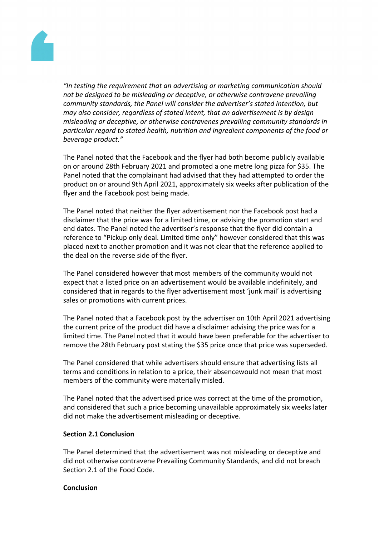

*"In testing the requirement that an advertising or marketing communication should not be designed to be misleading or deceptive, or otherwise contravene prevailing community standards, the Panel will consider the advertiser's stated intention, but may also consider, regardless of stated intent, that an advertisement is by design misleading or deceptive, or otherwise contravenes prevailing community standards in particular regard to stated health, nutrition and ingredient components of the food or beverage product."*

The Panel noted that the Facebook and the flyer had both become publicly available on or around 28th February 2021 and promoted a one metre long pizza for \$35. The Panel noted that the complainant had advised that they had attempted to order the product on or around 9th April 2021, approximately six weeks after publication of the flyer and the Facebook post being made.

The Panel noted that neither the flyer advertisement nor the Facebook post had a disclaimer that the price was for a limited time, or advising the promotion start and end dates. The Panel noted the advertiser's response that the flyer did contain a reference to "Pickup only deal. Limited time only" however considered that this was placed next to another promotion and it was not clear that the reference applied to the deal on the reverse side of the flyer.

The Panel considered however that most members of the community would not expect that a listed price on an advertisement would be available indefinitely, and considered that in regards to the flyer advertisement most 'junk mail' is advertising sales or promotions with current prices.

The Panel noted that a Facebook post by the advertiser on 10th April 2021 advertising the current price of the product did have a disclaimer advising the price was for a limited time. The Panel noted that it would have been preferable for the advertiser to remove the 28th February post stating the \$35 price once that price was superseded.

The Panel considered that while advertisers should ensure that advertising lists all terms and conditions in relation to a price, their absencewould not mean that most members of the community were materially misled.

The Panel noted that the advertised price was correct at the time of the promotion, and considered that such a price becoming unavailable approximately six weeks later did not make the advertisement misleading or deceptive.

### **Section 2.1 Conclusion**

The Panel determined that the advertisement was not misleading or deceptive and did not otherwise contravene Prevailing Community Standards, and did not breach Section 2.1 of the Food Code.

#### **Conclusion**